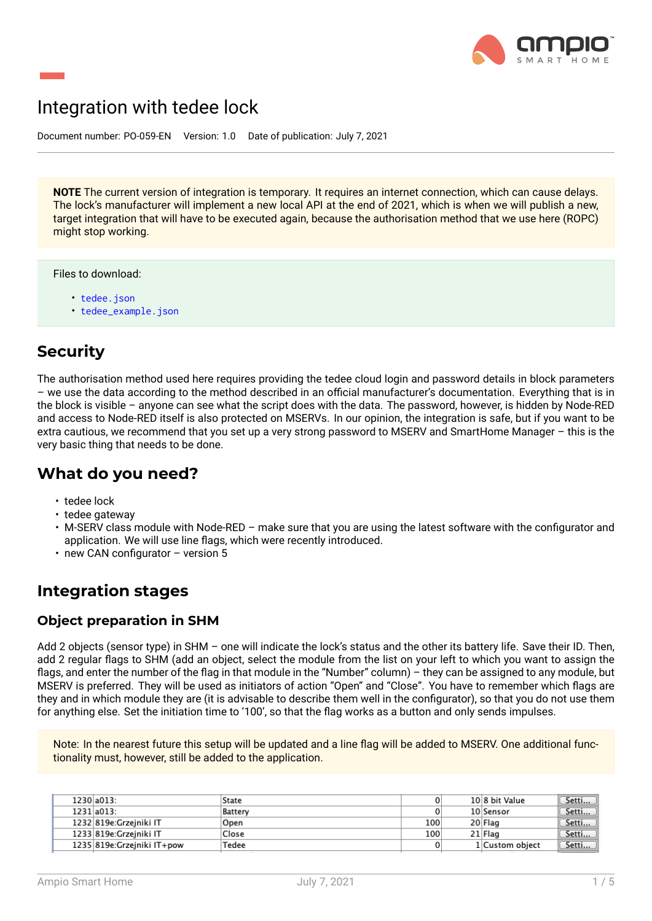

# Integration with tedee lock

Document number: PO-059-EN Version: 1.0 Date of publication: July 7, 2021

**NOTE** The current version of integration is temporary. It requires an internet connection, which can cause delays. The lock's manufacturer will implement a new local API at the end of 2021, which is when we will publish a new, target integration that will have to be executed again, because the authorisation method that we use here (ROPC) might stop working.

Files to download:

- tedee.json
- tedee\_example.json

### **Secu[rity](tedee.json)**

The authorisation method used here requires providing the tedee cloud login and password details in block parameters – we use the data according to the method described in an official manufacturer's documentation. Everything that is in the block is visible – anyone can see what the script does with the data. The password, however, is hidden by Node-RED and access to Node-RED itself is also protected on MSERVs. In our opinion, the integration is safe, but if you want to be extra cautious, we recommend that you set up a very strong password to MSERV and SmartHome Manager – this is the very basic thing that needs to be done.

### **What do you need?**

- tedee lock
- tedee gateway
- M-SERV class module with Node-RED make sure that you are using the latest software with the configurator and application. We will use line flags, which were recently introduced.
- new CAN configurator version 5

### **Integration stages**

#### **Object preparation in SHM**

Add 2 objects (sensor type) in SHM – one will indicate the lock's status and the other its battery life. Save their ID. Then, add 2 regular flags to SHM (add an object, select the module from the list on your left to which you want to assign the flags, and enter the number of the flag in that module in the "Number" column) – they can be assigned to any module, but MSERV is preferred. They will be used as initiators of action "Open" and "Close". You have to remember which flags are they and in which module they are (it is advisable to describe them well in the configurator), so that you do not use them for anything else. Set the initiation time to '100', so that the flag works as a button and only sends impulses.

Note: In the nearest future this setup will be updated and a line flag will be added to MSERV. One additional functionality must, however, still be added to the application.

| 1230 a013:                  | State   |     | 10 8 bit Value  | " Setti |
|-----------------------------|---------|-----|-----------------|---------|
| 1231 a013:                  | Battery |     | 10 Sensor       | Setti   |
| 1232 819e: Grzeiniki IT     | Open    | 100 | 20 Flag         | " Setti |
| 1233 819e: Grzeiniki IT     | Close   | 100 | 21 Flag         | Setti   |
| 1235 819e: Grzeiniki IT+pow | Tedee   |     | 1 Custom object | Setti   |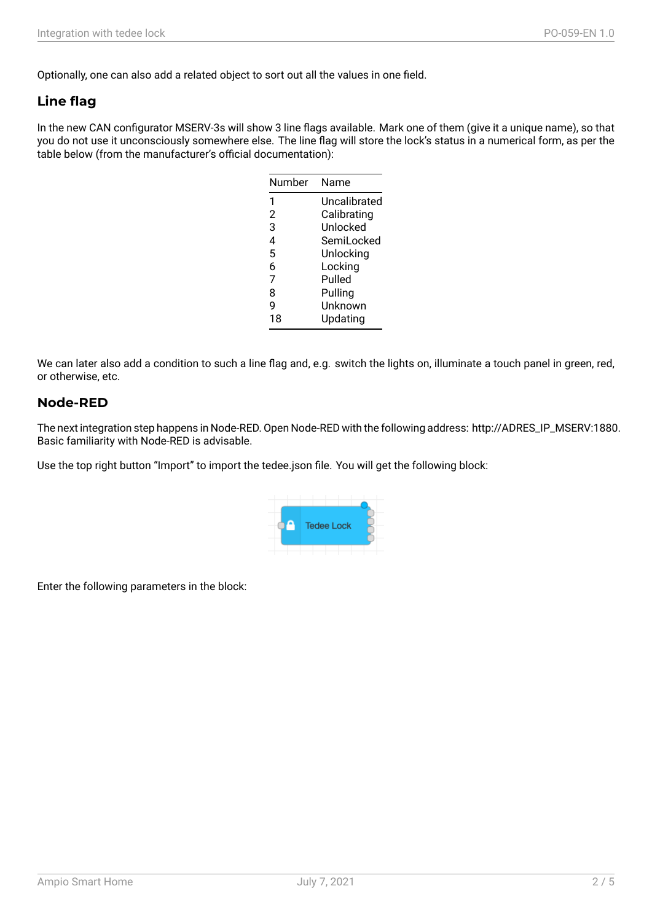Optionally, one can also add a related object to sort out all the values in one field.

### **Line flag**

In the new CAN configurator MSERV-3s will show 3 line flags available. Mark one of them (give it a unique name), so that you do not use it unconsciously somewhere else. The line flag will store the lock's status in a numerical form, as per the table below (from the manufacturer's official documentation):

| Number | Name         |
|--------|--------------|
| 1      | Uncalibrated |
| 2      | Calibrating  |
| 3      | Unlocked     |
| 4      | SemiLocked   |
| 5      | Unlocking    |
| 6      | Locking      |
| 7      | Pulled       |
| 8      | Pulling      |
| q      | Unknown      |
| 18     | Updating     |

We can later also add a condition to such a line flag and, e.g. switch the lights on, illuminate a touch panel in green, red, or otherwise, etc.

#### **Node-RED**

The next integration step happens in Node-RED. Open Node-RED with the following address: http://ADRES\_IP\_MSERV:1880. Basic familiarity with Node-RED is advisable.

Use the top right button "Import" to import the tedee.json file. You will get the following block:



Enter the following parameters in the block: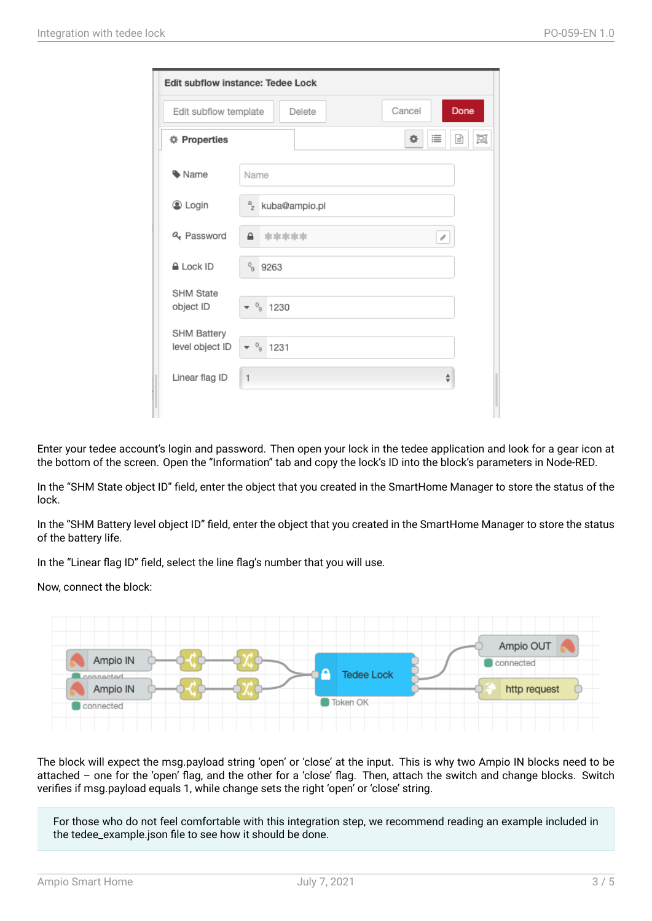| Edit subflow instance: Tedee Lock |                                          |  |  |  |  |  |  |  |  |
|-----------------------------------|------------------------------------------|--|--|--|--|--|--|--|--|
| Edit subflow template             | Cancel<br>Done<br>Delete                 |  |  |  |  |  |  |  |  |
| <b>#</b> Properties               | §<br>圓<br>寺<br>這                         |  |  |  |  |  |  |  |  |
| • Name                            | Name                                     |  |  |  |  |  |  |  |  |
| C Login                           | <sup>a</sup> <sub>z</sub> kuba@ampio.pl  |  |  |  |  |  |  |  |  |
| Q. Password                       | $\mathbf{a}$<br>oje oje oje oje oje<br>P |  |  |  |  |  |  |  |  |
| <b>ALock ID</b>                   | 9263                                     |  |  |  |  |  |  |  |  |
| <b>SHM State</b><br>object ID     | $^0$<br>1230                             |  |  |  |  |  |  |  |  |
| SHM Battery<br>level object ID    | $\frac{0}{9}$ 1231                       |  |  |  |  |  |  |  |  |
| Linear flag ID                    | $\mathbf{1}$<br>$\div$                   |  |  |  |  |  |  |  |  |

Enter your tedee account's login and password. Then open your lock in the tedee application and look for a gear icon at the bottom of the screen. Open the "Information" tab and copy the lock's ID into the block's parameters in Node-RED.

In the "SHM State object ID" field, enter the object that you created in the SmartHome Manager to store the status of the lock.

In the "SHM Battery level object ID" field, enter the object that you created in the SmartHome Manager to store the status of the battery life.

In the "Linear flag ID" field, select the line flag's number that you will use.

Now, connect the block:



The block will expect the msg.payload string 'open' or 'close' at the input. This is why two Ampio IN blocks need to be attached – one for the 'open' flag, and the other for a 'close' flag. Then, attach the switch and change blocks. Switch verifies if msg.payload equals 1, while change sets the right 'open' or 'close' string.

For those who do not feel comfortable with this integration step, we recommend reading an example included in the tedee\_example.json file to see how it should be done.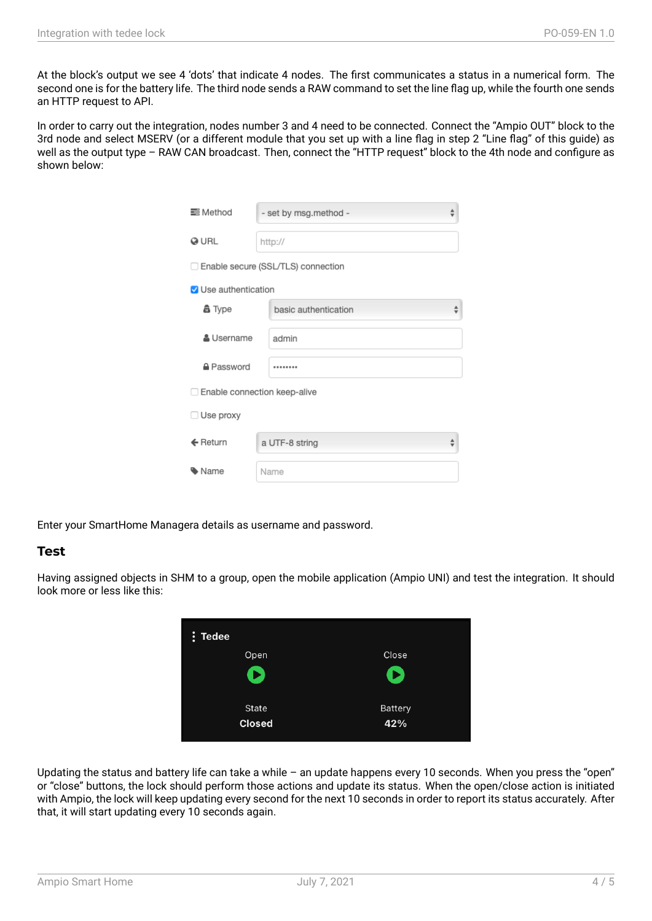At the block's output we see 4 'dots' that indicate 4 nodes. The first communicates a status in a numerical form. The second one is for the battery life. The third node sends a RAW command to set the line flag up, while the fourth one sends an HTTP request to API.

In order to carry out the integration, nodes number 3 and 4 need to be connected. Connect the "Ampio OUT" block to the 3rd node and select MSERV (or a different module that you set up with a line flag in step 2 "Line flag" of this guide) as well as the output type – RAW CAN broadcast. Then, connect the "HTTP request" block to the 4th node and configure as shown below:

| <b>三</b> Method                | - set by msg.method -                |  |
|--------------------------------|--------------------------------------|--|
| @ URL                          | http://                              |  |
|                                | □ Enable secure (SSL/TLS) connection |  |
| V Use authentication           |                                      |  |
| 矗 Type                         | basic authentication                 |  |
| & Username                     | admin                                |  |
| A Password                     |                                      |  |
| □ Enable connection keep-alive |                                      |  |
| $\Box$ Use proxy               |                                      |  |
| $\leftarrow$ Return            | a UTF-8 string                       |  |
| Name                           | Name                                 |  |

Enter your SmartHome Managera details as username and password.

#### **Test**

Having assigned objects in SHM to a group, open the mobile application (Ampio UNI) and test the integration. It should look more or less like this:



Updating the status and battery life can take a while  $-$  an update happens every 10 seconds. When you press the "open" or "close" buttons, the lock should perform those actions and update its status. When the open/close action is initiated with Ampio, the lock will keep updating every second for the next 10 seconds in order to report its status accurately. After that, it will start updating every 10 seconds again.